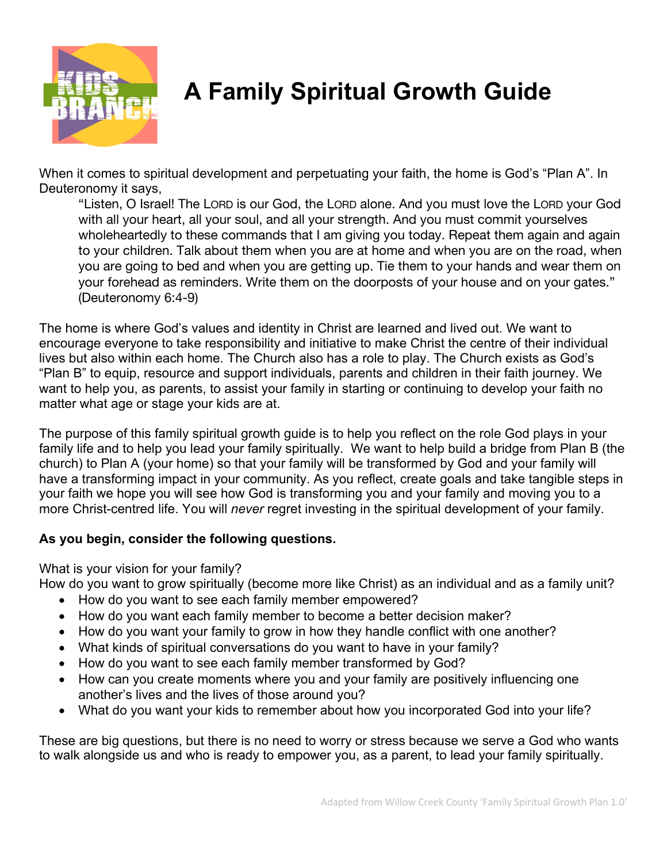

## **A Family Spiritual Growth Guide**

When it comes to spiritual development and perpetuating your faith, the home is God's "Plan A". In Deuteronomy it says,

"Listen, O Israel! The LORD is our God, the LORD alone. And you must love the LORD your God with all your heart, all your soul, and all your strength. And you must commit yourselves wholeheartedly to these commands that I am giving you today. Repeat them again and again to your children. Talk about them when you are at home and when you are on the road, when you are going to bed and when you are getting up. Tie them to your hands and wear them on your forehead as reminders. Write them on the doorposts of your house and on your gates." (Deuteronomy 6:4-9)

The home is where God's values and identity in Christ are learned and lived out. We want to encourage everyone to take responsibility and initiative to make Christ the centre of their individual lives but also within each home. The Church also has a role to play. The Church exists as God's "Plan B" to equip, resource and support individuals, parents and children in their faith journey. We want to help you, as parents, to assist your family in starting or continuing to develop your faith no matter what age or stage your kids are at.

The purpose of this family spiritual growth guide is to help you reflect on the role God plays in your family life and to help you lead your family spiritually. We want to help build a bridge from Plan B (the church) to Plan A (your home) so that your family will be transformed by God and your family will have a transforming impact in your community. As you reflect, create goals and take tangible steps in your faith we hope you will see how God is transforming you and your family and moving you to a more Christ-centred life. You will *never* regret investing in the spiritual development of your family.

## **As you begin, consider the following questions.**

What is your vision for your family?

How do you want to grow spiritually (become more like Christ) as an individual and as a family unit?

- How do you want to see each family member empowered?
- How do you want each family member to become a better decision maker?
- How do you want your family to grow in how they handle conflict with one another?
- What kinds of spiritual conversations do you want to have in your family?
- How do you want to see each family member transformed by God?
- How can you create moments where you and your family are positively influencing one another's lives and the lives of those around you?
- What do you want your kids to remember about how you incorporated God into your life?

These are big questions, but there is no need to worry or stress because we serve a God who wants to walk alongside us and who is ready to empower you, as a parent, to lead your family spiritually.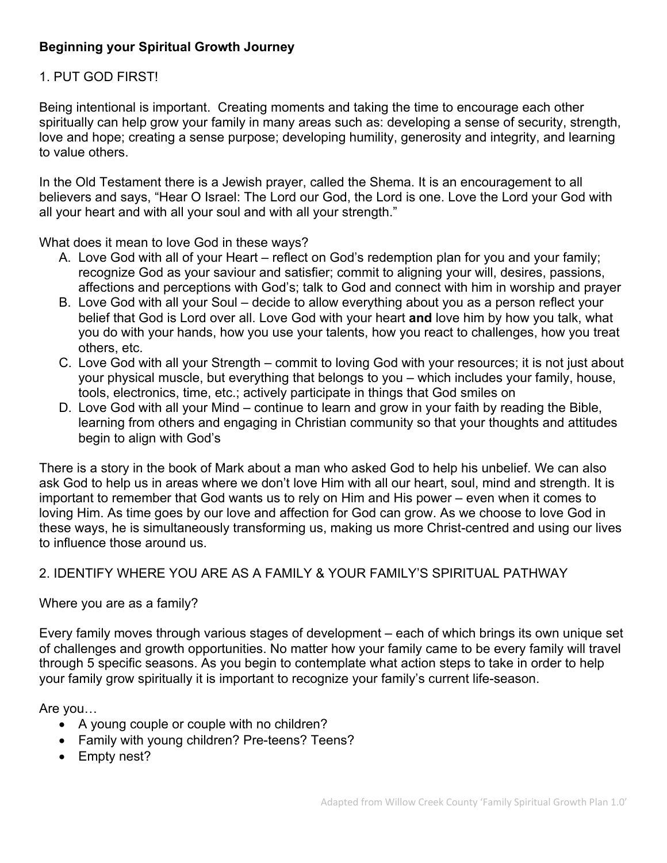### **Beginning your Spiritual Growth Journey**

### 1. PUT GOD FIRST!

Being intentional is important. Creating moments and taking the time to encourage each other spiritually can help grow your family in many areas such as: developing a sense of security, strength, love and hope; creating a sense purpose; developing humility, generosity and integrity, and learning to value others.

In the Old Testament there is a Jewish prayer, called the Shema. It is an encouragement to all believers and says, "Hear O Israel: The Lord our God, the Lord is one. Love the Lord your God with all your heart and with all your soul and with all your strength."

What does it mean to love God in these ways?

- A. Love God with all of your Heart reflect on God's redemption plan for you and your family; recognize God as your saviour and satisfier; commit to aligning your will, desires, passions, affections and perceptions with God's; talk to God and connect with him in worship and prayer
- B. Love God with all your Soul decide to allow everything about you as a person reflect your belief that God is Lord over all. Love God with your heart **and** love him by how you talk, what you do with your hands, how you use your talents, how you react to challenges, how you treat others, etc.
- C. Love God with all your Strength commit to loving God with your resources; it is not just about your physical muscle, but everything that belongs to you – which includes your family, house, tools, electronics, time, etc.; actively participate in things that God smiles on
- D. Love God with all your Mind continue to learn and grow in your faith by reading the Bible, learning from others and engaging in Christian community so that your thoughts and attitudes begin to align with God's

There is a story in the book of Mark about a man who asked God to help his unbelief. We can also ask God to help us in areas where we don't love Him with all our heart, soul, mind and strength. It is important to remember that God wants us to rely on Him and His power – even when it comes to loving Him. As time goes by our love and affection for God can grow. As we choose to love God in these ways, he is simultaneously transforming us, making us more Christ-centred and using our lives to influence those around us.

### 2. IDENTIFY WHERE YOU ARE AS A FAMILY & YOUR FAMILY'S SPIRITUAL PATHWAY

#### Where you are as a family?

Every family moves through various stages of development – each of which brings its own unique set of challenges and growth opportunities. No matter how your family came to be every family will travel through 5 specific seasons. As you begin to contemplate what action steps to take in order to help your family grow spiritually it is important to recognize your family's current life-season.

Are you…

- A young couple or couple with no children?
- Family with young children? Pre-teens? Teens?
- Empty nest?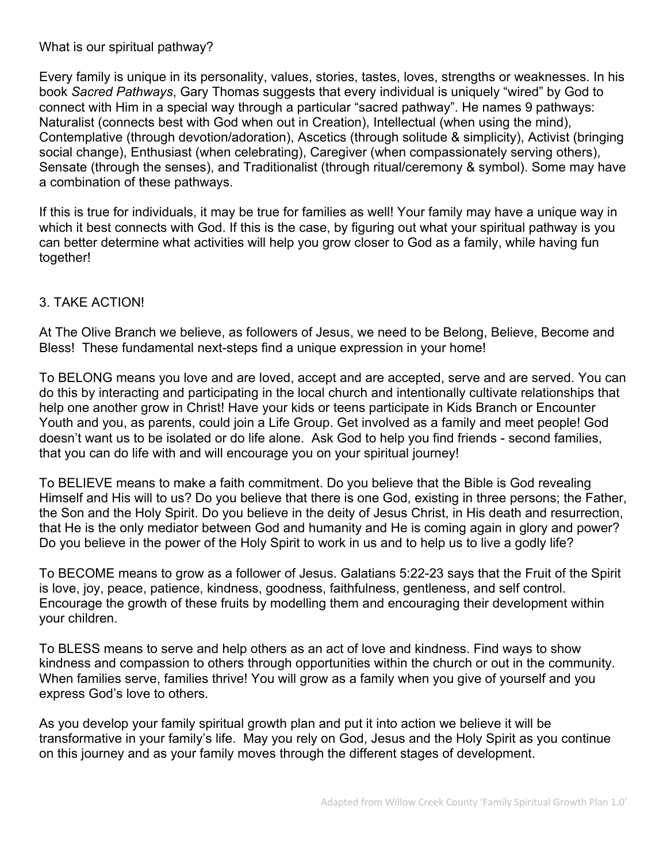#### What is our spiritual pathway?

Every family is unique in its personality, values, stories, tastes, loves, strengths or weaknesses. In his book *Sacred Pathways*, Gary Thomas suggests that every individual is uniquely "wired" by God to connect with Him in a special way through a particular "sacred pathway". He names 9 pathways: Naturalist (connects best with God when out in Creation), Intellectual (when using the mind), Contemplative (through devotion/adoration), Ascetics (through solitude & simplicity), Activist (bringing social change), Enthusiast (when celebrating), Caregiver (when compassionately serving others), Sensate (through the senses), and Traditionalist (through ritual/ceremony & symbol). Some may have a combination of these pathways.

If this is true for individuals, it may be true for families as well! Your family may have a unique way in which it best connects with God. If this is the case, by figuring out what your spiritual pathway is you can better determine what activities will help you grow closer to God as a family, while having fun together!

#### 3. TAKE ACTION!

At The Olive Branch we believe, as followers of Jesus, we need to be Belong, Believe, Become and Bless! These fundamental next-steps find a unique expression in your home!

To BELONG means you love and are loved, accept and are accepted, serve and are served. You can do this by interacting and participating in the local church and intentionally cultivate relationships that help one another grow in Christ! Have your kids or teens participate in Kids Branch or Encounter Youth and you, as parents, could join a Life Group. Get involved as a family and meet people! God doesn't want us to be isolated or do life alone. Ask God to help you find friends - second families, that you can do life with and will encourage you on your spiritual journey!

To BELIEVE means to make a faith commitment. Do you believe that the Bible is God revealing Himself and His will to us? Do you believe that there is one God, existing in three persons; the Father, the Son and the Holy Spirit. Do you believe in the deity of Jesus Christ, in His death and resurrection, that He is the only mediator between God and humanity and He is coming again in glory and power? Do you believe in the power of the Holy Spirit to work in us and to help us to live a godly life?

To BECOME means to grow as a follower of Jesus. Galatians 5:22-23 says that the Fruit of the Spirit is love, joy, peace, patience, kindness, goodness, faithfulness, gentleness, and self control. Encourage the growth of these fruits by modelling them and encouraging their development within your children.

To BLESS means to serve and help others as an act of love and kindness. Find ways to show kindness and compassion to others through opportunities within the church or out in the community. When families serve, families thrive! You will grow as a family when you give of yourself and you express God's love to others.

As you develop your family spiritual growth plan and put it into action we believe it will be transformative in your family's life. May you rely on God, Jesus and the Holy Spirit as you continue on this journey and as your family moves through the different stages of development.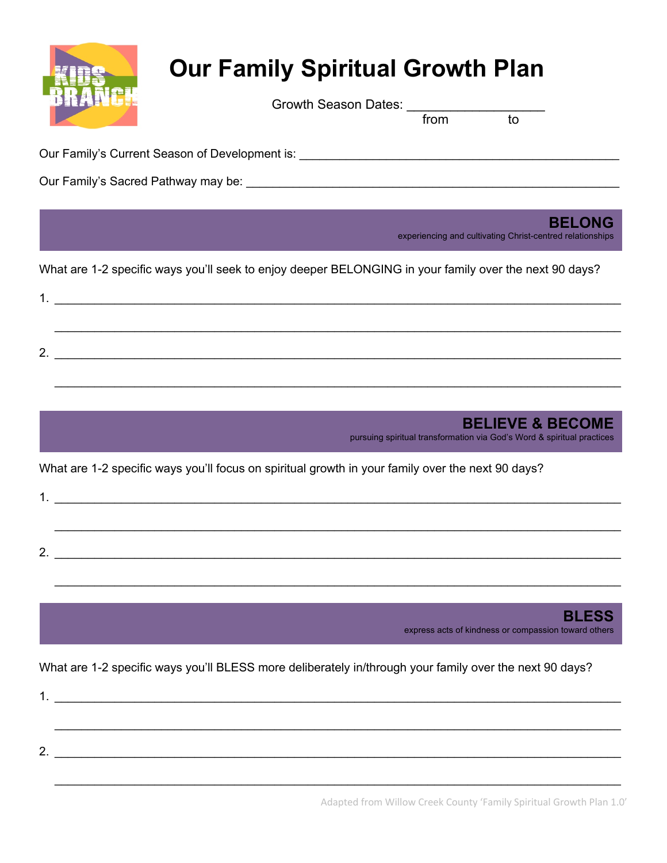# **Our Family Spiritual Growth Plan**

Growth Season Dates:

from to

Our Family's Current Season of Development is: \_\_\_\_\_\_\_\_\_\_\_\_\_\_\_\_\_\_\_\_\_\_\_\_\_\_\_\_\_\_\_\_\_

Our Family's Sacred Pathway may be: \_\_\_\_\_\_\_\_\_\_\_\_\_\_\_\_\_\_\_\_\_\_\_\_\_\_\_\_\_\_\_\_\_\_\_\_\_\_\_\_\_\_\_\_\_\_\_\_\_\_\_\_\_\_\_\_

**BELONG**

experiencing and cultivating Christ-centred relationships

What are 1-2 specific ways you'll seek to enjoy deeper BELONGING in your family over the next 90 days?

| ◠<br><u>.</u> |  |
|---------------|--|
|               |  |

 $\_$ 

 $\_$ 

 $\_$ 

## **BELIEVE & BECOME**

pursuing spiritual transformation via God's Word & spiritual practices

What are 1-2 specific ways you'll focus on spiritual growth in your family over the next 90 days?

1. \_\_\_\_\_\_\_\_\_\_\_\_\_\_\_\_\_\_\_\_\_\_\_\_\_\_\_\_\_\_\_\_\_\_\_\_\_\_\_\_\_\_\_\_\_\_\_\_\_\_\_\_\_\_\_\_\_\_\_\_\_\_\_\_\_\_\_\_\_\_\_\_\_\_\_\_\_\_\_\_\_\_\_\_\_

2. \_\_\_\_\_\_\_\_\_\_\_\_\_\_\_\_\_\_\_\_\_\_\_\_\_\_\_\_\_\_\_\_\_\_\_\_\_\_\_\_\_\_\_\_\_\_\_\_\_\_\_\_\_\_\_\_\_\_\_\_\_\_\_\_\_\_\_\_\_\_\_\_\_\_\_\_\_\_\_\_\_\_\_\_\_

**BLESS** express acts of kindness or compassion toward others

What are 1-2 specific ways you'll BLESS more deliberately in/through your family over the next 90 days?

 $1.$  $\_$ 2. \_\_\_\_\_\_\_\_\_\_\_\_\_\_\_\_\_\_\_\_\_\_\_\_\_\_\_\_\_\_\_\_\_\_\_\_\_\_\_\_\_\_\_\_\_\_\_\_\_\_\_\_\_\_\_\_\_\_\_\_\_\_\_\_\_\_\_\_\_\_\_\_\_\_\_\_\_\_\_\_\_\_\_\_\_

 $\_$  , and the set of the set of the set of the set of the set of the set of the set of the set of the set of the set of the set of the set of the set of the set of the set of the set of the set of the set of the set of th

Adapted from Willow Creek County 'Family Spiritual Growth Plan 1.0'